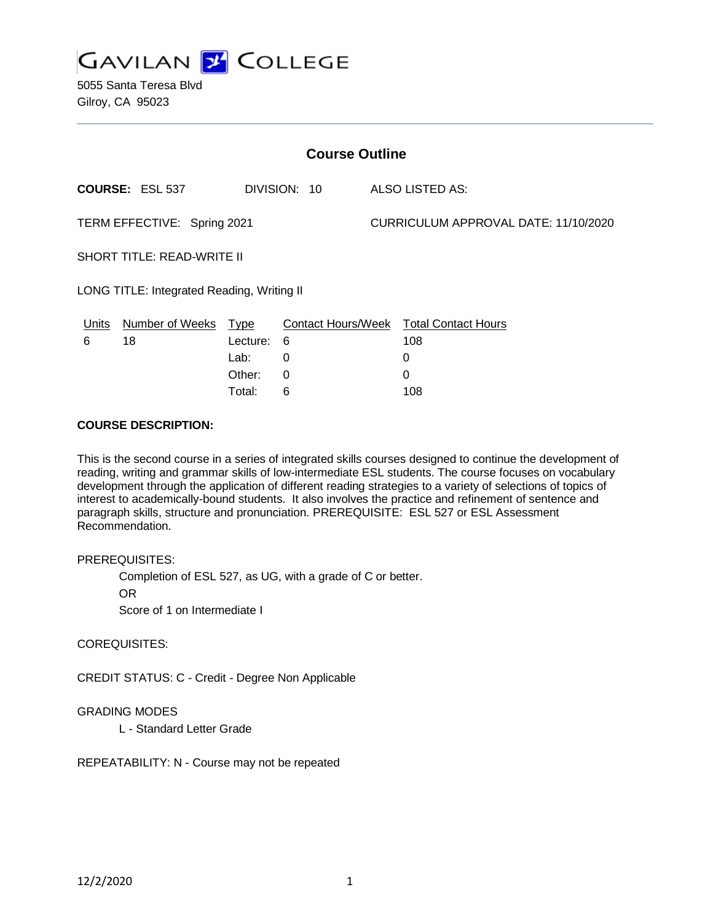

5055 Santa Teresa Blvd Gilroy, CA 95023

| <b>Course Outline</b>                      |                        |             |                           |  |                                      |  |
|--------------------------------------------|------------------------|-------------|---------------------------|--|--------------------------------------|--|
|                                            | <b>COURSE: ESL 537</b> |             | DIVISION: 10              |  | ALSO LISTED AS:                      |  |
| TERM EFFECTIVE: Spring 2021                |                        |             |                           |  | CURRICULUM APPROVAL DATE: 11/10/2020 |  |
| <b>SHORT TITLE: READ-WRITE II</b>          |                        |             |                           |  |                                      |  |
| LONG TITLE: Integrated Reading, Writing II |                        |             |                           |  |                                      |  |
| Units                                      | <b>Number of Weeks</b> | <u>Type</u> | <b>Contact Hours/Week</b> |  | <b>Total Contact Hours</b>           |  |
| 6                                          | 18                     | Lecture:    | 6                         |  | 108                                  |  |
|                                            |                        | Lab:        | 0                         |  | 0                                    |  |

Other: 0 0 Total: 6 108

#### **COURSE DESCRIPTION:**

This is the second course in a series of integrated skills courses designed to continue the development of reading, writing and grammar skills of low-intermediate ESL students. The course focuses on vocabulary development through the application of different reading strategies to a variety of selections of topics of interest to academically-bound students. It also involves the practice and refinement of sentence and paragraph skills, structure and pronunciation. PREREQUISITE: ESL 527 or ESL Assessment Recommendation.

#### PREREQUISITES:

Completion of ESL 527, as UG, with a grade of C or better.

OR

Score of 1 on Intermediate I

#### COREQUISITES:

CREDIT STATUS: C - Credit - Degree Non Applicable

#### GRADING MODES

L - Standard Letter Grade

REPEATABILITY: N - Course may not be repeated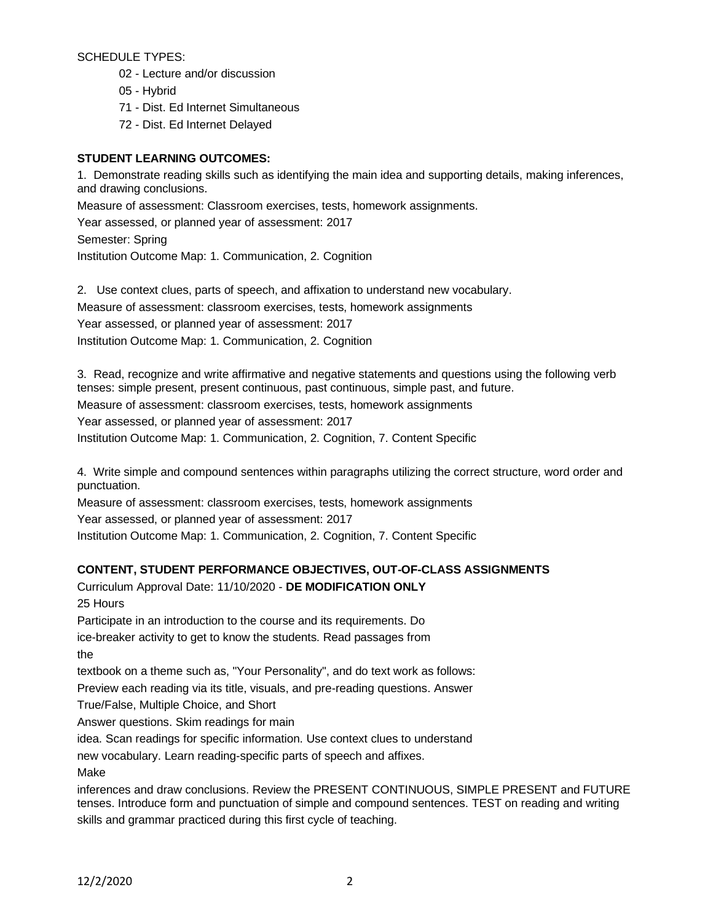SCHEDULE TYPES:

- 02 Lecture and/or discussion
- 05 Hybrid
- 71 Dist. Ed Internet Simultaneous
- 72 Dist. Ed Internet Delayed

## **STUDENT LEARNING OUTCOMES:**

1. Demonstrate reading skills such as identifying the main idea and supporting details, making inferences, and drawing conclusions. Measure of assessment: Classroom exercises, tests, homework assignments. Year assessed, or planned year of assessment: 2017 Semester: Spring Institution Outcome Map: 1. Communication, 2. Cognition

2. Use context clues, parts of speech, and affixation to understand new vocabulary. Measure of assessment: classroom exercises, tests, homework assignments Year assessed, or planned year of assessment: 2017 Institution Outcome Map: 1. Communication, 2. Cognition

3. Read, recognize and write affirmative and negative statements and questions using the following verb tenses: simple present, present continuous, past continuous, simple past, and future.

Measure of assessment: classroom exercises, tests, homework assignments

Year assessed, or planned year of assessment: 2017

Institution Outcome Map: 1. Communication, 2. Cognition, 7. Content Specific

4. Write simple and compound sentences within paragraphs utilizing the correct structure, word order and punctuation.

Measure of assessment: classroom exercises, tests, homework assignments

Year assessed, or planned year of assessment: 2017

Institution Outcome Map: 1. Communication, 2. Cognition, 7. Content Specific

# **CONTENT, STUDENT PERFORMANCE OBJECTIVES, OUT-OF-CLASS ASSIGNMENTS**

Curriculum Approval Date: 11/10/2020 - **DE MODIFICATION ONLY** 25 Hours

Participate in an introduction to the course and its requirements. Do

ice-breaker activity to get to know the students. Read passages from the

textbook on a theme such as, "Your Personality", and do text work as follows:

Preview each reading via its title, visuals, and pre-reading questions. Answer

True/False, Multiple Choice, and Short

Answer questions. Skim readings for main

idea. Scan readings for specific information. Use context clues to understand

new vocabulary. Learn reading-specific parts of speech and affixes.

Make

inferences and draw conclusions. Review the PRESENT CONTINUOUS, SIMPLE PRESENT and FUTURE tenses. Introduce form and punctuation of simple and compound sentences. TEST on reading and writing skills and grammar practiced during this first cycle of teaching.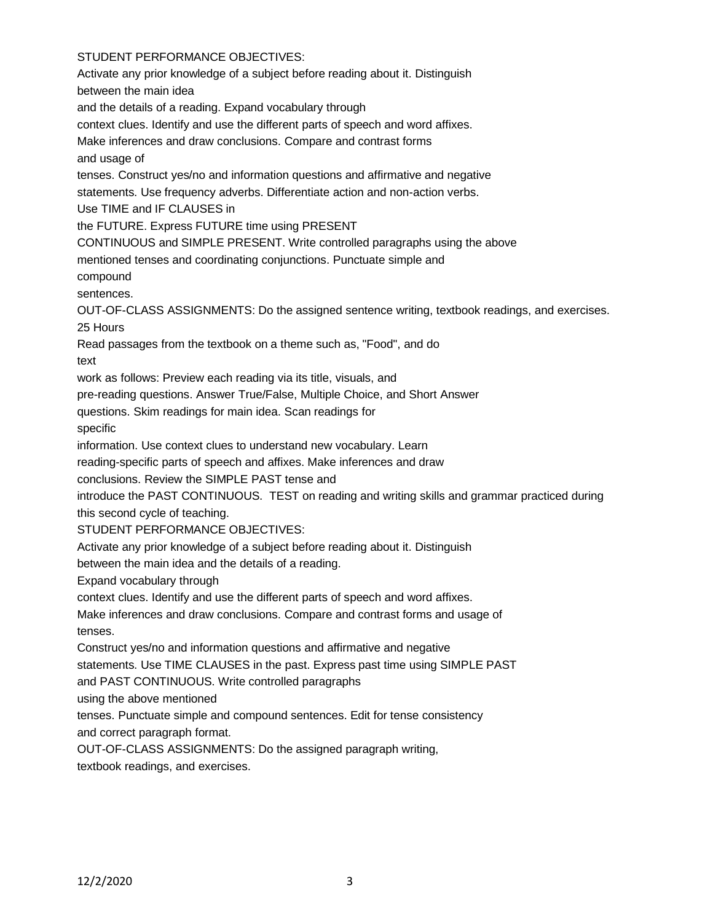# STUDENT PERFORMANCE OBJECTIVES:

Activate any prior knowledge of a subject before reading about it. Distinguish between the main idea and the details of a reading. Expand vocabulary through context clues. Identify and use the different parts of speech and word affixes. Make inferences and draw conclusions. Compare and contrast forms and usage of tenses. Construct yes/no and information questions and affirmative and negative statements. Use frequency adverbs. Differentiate action and non-action verbs. Use TIME and IF CLAUSES in the FUTURE. Express FUTURE time using PRESENT CONTINUOUS and SIMPLE PRESENT. Write controlled paragraphs using the above mentioned tenses and coordinating conjunctions. Punctuate simple and compound sentences. OUT-OF-CLASS ASSIGNMENTS: Do the assigned sentence writing, textbook readings, and exercises. 25 Hours Read passages from the textbook on a theme such as, "Food", and do text work as follows: Preview each reading via its title, visuals, and pre-reading questions. Answer True/False, Multiple Choice, and Short Answer questions. Skim readings for main idea. Scan readings for specific information. Use context clues to understand new vocabulary. Learn reading-specific parts of speech and affixes. Make inferences and draw conclusions. Review the SIMPLE PAST tense and introduce the PAST CONTINUOUS. TEST on reading and writing skills and grammar practiced during this second cycle of teaching. STUDENT PERFORMANCE OBJECTIVES: Activate any prior knowledge of a subject before reading about it. Distinguish between the main idea and the details of a reading. Expand vocabulary through context clues. Identify and use the different parts of speech and word affixes. Make inferences and draw conclusions. Compare and contrast forms and usage of tenses. Construct yes/no and information questions and affirmative and negative statements. Use TIME CLAUSES in the past. Express past time using SIMPLE PAST and PAST CONTINUOUS. Write controlled paragraphs using the above mentioned tenses. Punctuate simple and compound sentences. Edit for tense consistency and correct paragraph format. OUT-OF-CLASS ASSIGNMENTS: Do the assigned paragraph writing, textbook readings, and exercises.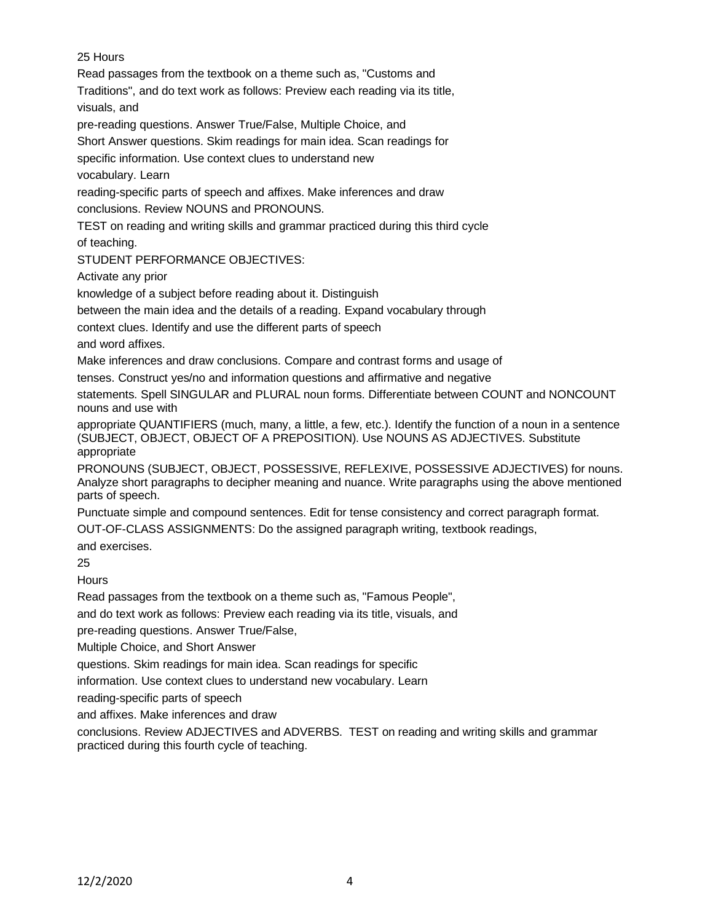# 25 Hours

Read passages from the textbook on a theme such as, "Customs and

Traditions", and do text work as follows: Preview each reading via its title, visuals, and

pre-reading questions. Answer True/False, Multiple Choice, and

Short Answer questions. Skim readings for main idea. Scan readings for

specific information. Use context clues to understand new

vocabulary. Learn

reading-specific parts of speech and affixes. Make inferences and draw conclusions. Review NOUNS and PRONOUNS.

TEST on reading and writing skills and grammar practiced during this third cycle

of teaching.

STUDENT PERFORMANCE OBJECTIVES:

Activate any prior

knowledge of a subject before reading about it. Distinguish

between the main idea and the details of a reading. Expand vocabulary through

context clues. Identify and use the different parts of speech

and word affixes.

Make inferences and draw conclusions. Compare and contrast forms and usage of

tenses. Construct yes/no and information questions and affirmative and negative

statements. Spell SINGULAR and PLURAL noun forms. Differentiate between COUNT and NONCOUNT nouns and use with

appropriate QUANTIFIERS (much, many, a little, a few, etc.). Identify the function of a noun in a sentence (SUBJECT, OBJECT, OBJECT OF A PREPOSITION). Use NOUNS AS ADJECTIVES. Substitute appropriate

PRONOUNS (SUBJECT, OBJECT, POSSESSIVE, REFLEXIVE, POSSESSIVE ADJECTIVES) for nouns. Analyze short paragraphs to decipher meaning and nuance. Write paragraphs using the above mentioned parts of speech.

Punctuate simple and compound sentences. Edit for tense consistency and correct paragraph format.

OUT-OF-CLASS ASSIGNMENTS: Do the assigned paragraph writing, textbook readings,

and exercises.

25

**Hours** 

Read passages from the textbook on a theme such as, "Famous People",

and do text work as follows: Preview each reading via its title, visuals, and

pre-reading questions. Answer True/False,

Multiple Choice, and Short Answer

questions. Skim readings for main idea. Scan readings for specific

information. Use context clues to understand new vocabulary. Learn

reading-specific parts of speech

and affixes. Make inferences and draw

conclusions. Review ADJECTIVES and ADVERBS. TEST on reading and writing skills and grammar practiced during this fourth cycle of teaching.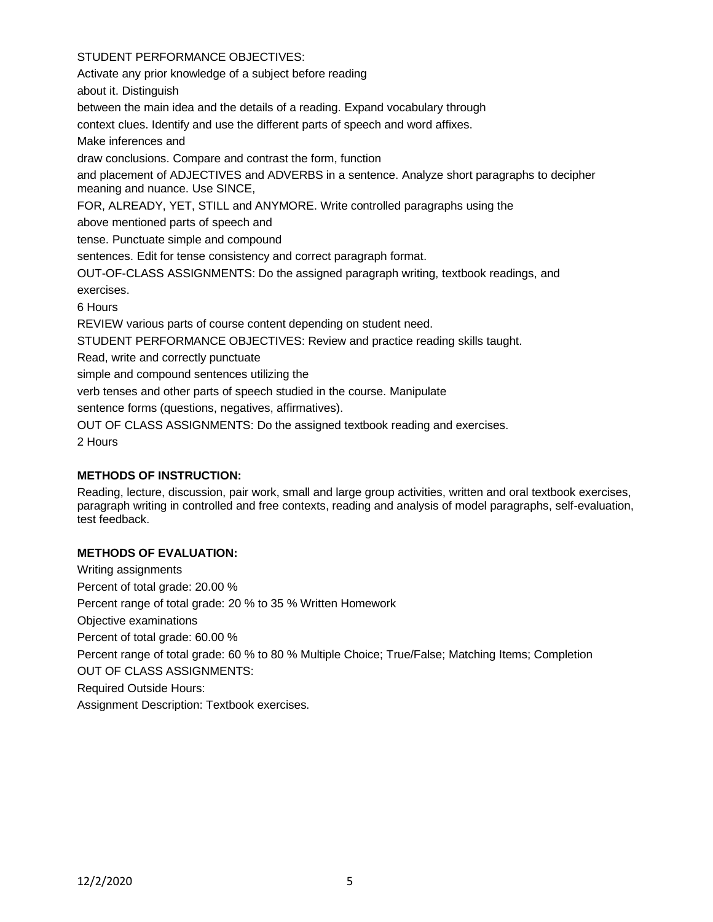### STUDENT PERFORMANCE OBJECTIVES:

Activate any prior knowledge of a subject before reading

about it. Distinguish

between the main idea and the details of a reading. Expand vocabulary through

context clues. Identify and use the different parts of speech and word affixes.

Make inferences and

draw conclusions. Compare and contrast the form, function

and placement of ADJECTIVES and ADVERBS in a sentence. Analyze short paragraphs to decipher meaning and nuance. Use SINCE,

FOR, ALREADY, YET, STILL and ANYMORE. Write controlled paragraphs using the

above mentioned parts of speech and

tense. Punctuate simple and compound

sentences. Edit for tense consistency and correct paragraph format.

OUT-OF-CLASS ASSIGNMENTS: Do the assigned paragraph writing, textbook readings, and exercises.

6 Hours

REVIEW various parts of course content depending on student need.

STUDENT PERFORMANCE OBJECTIVES: Review and practice reading skills taught.

Read, write and correctly punctuate

simple and compound sentences utilizing the

verb tenses and other parts of speech studied in the course. Manipulate

sentence forms (questions, negatives, affirmatives).

OUT OF CLASS ASSIGNMENTS: Do the assigned textbook reading and exercises.

2 Hours

# **METHODS OF INSTRUCTION:**

Reading, lecture, discussion, pair work, small and large group activities, written and oral textbook exercises, paragraph writing in controlled and free contexts, reading and analysis of model paragraphs, self-evaluation, test feedback.

# **METHODS OF EVALUATION:**

Writing assignments Percent of total grade: 20.00 % Percent range of total grade: 20 % to 35 % Written Homework Objective examinations Percent of total grade: 60.00 % Percent range of total grade: 60 % to 80 % Multiple Choice; True/False; Matching Items; Completion OUT OF CLASS ASSIGNMENTS: Required Outside Hours: Assignment Description: Textbook exercises.